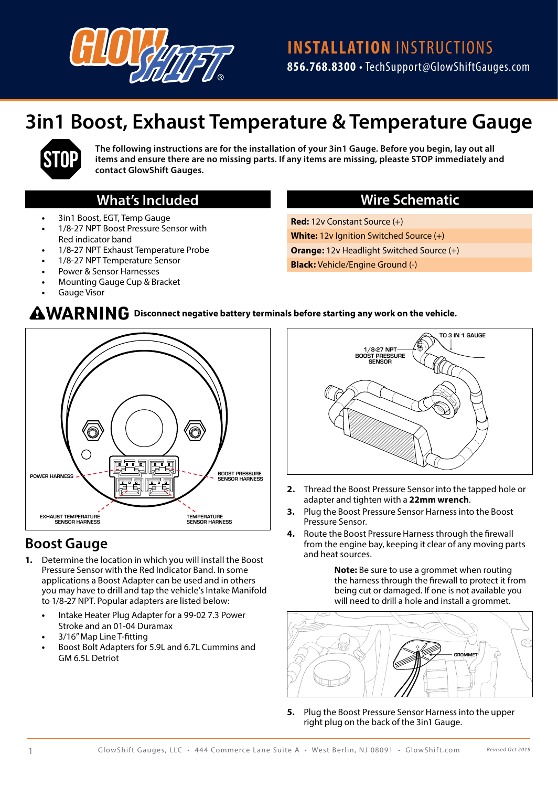

# **3in1 Boost, Exhaust Temperature & Temperature Gauge**



**The following instructions are for the installation of your 3in1 Gauge. Before you begin, lay out all items and ensure there are no missing parts. If any items are missing, pleaste STOP immediately and contact GlowShift Gauges.**

#### **What's Included**

- **•** 3in1 Boost, EGT, Temp Gauge
- **•** 1/8-27 NPT Boost Pressure Sensor with Red indicator band
- **•** 1/8-27 NPT Exhaust Temperature Probe
- **•** 1/8-27 NPT Temperature Sensor
- **•** Power & Sensor Harnesses
- **•** Mounting Gauge Cup & Bracket
- **•** Gauge Visor

#### **Wire Schematic**

**Red:** 12v Constant Source (+) **White:** 12v Ignition Switched Source (+) **Orange:** 12v Headlight Switched Source (+) **Black:** Vehicle/Engine Ground (-)

#### $\bf AMARNING$  Disconnect negative battery terminals before starting any work on the vehicle.



### **Boost Gauge**

- **1.** Determine the location in which you will install the Boost Pressure Sensor with the Red Indicator Band. In some applications a Boost Adapter can be used and in others you may have to drill and tap the vehicle's Intake Manifold to 1/8-27 NPT. Popular adapters are listed below:
	- **•** Intake Heater Plug Adapter for a 99-02 7.3 Power Stroke and an 01-04 Duramax
	- **•** 3/16" Map Line T-fitting
	- **•** Boost Bolt Adapters for 5.9L and 6.7L Cummins and GM 6.5L Detriot



- **2.** Thread the Boost Pressure Sensor into the tapped hole or adapter and tighten with a **22mm wrench**.
- **3.** Plug the Boost Pressure Sensor Harness into the Boost Pressure Sensor.
- **4.** Route the Boost Pressure Harness through the firewall from the engine bay, keeping it clear of any moving parts and heat sources.

**Note:** Be sure to use a grommet when routing the harness through the firewall to protect it from being cut or damaged. If one is not available you will need to drill a hole and install a grommet.



**5.** Plug the Boost Pressure Sensor Harness into the upper right plug on the back of the 3in1 Gauge.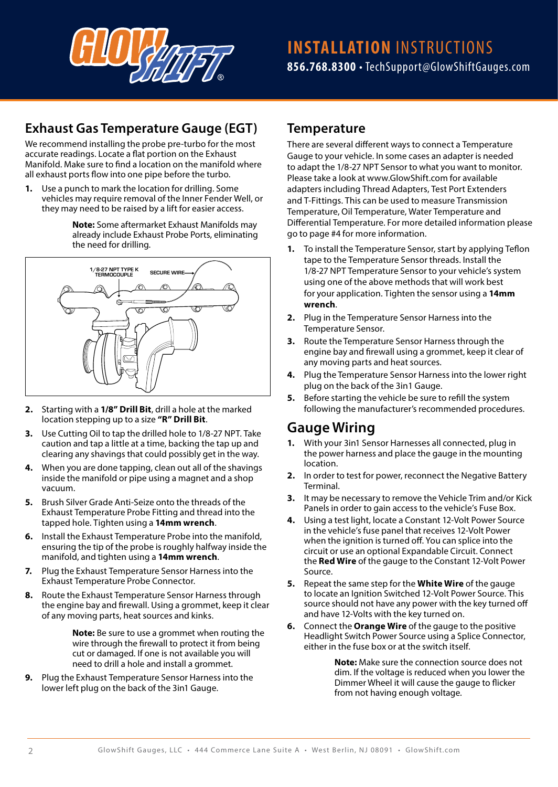

## **Exhaust Gas Temperature Gauge (EGT)**

We recommend installing the probe pre-turbo for the most accurate readings. Locate a flat portion on the Exhaust Manifold. Make sure to find a location on the manifold where all exhaust ports flow into one pipe before the turbo.

**1.** Use a punch to mark the location for drilling. Some vehicles may require removal of the Inner Fender Well, or they may need to be raised by a lift for easier access.

> **Note:** Some aftermarket Exhaust Manifolds may already include Exhaust Probe Ports, eliminating the need for drilling.



- **2.** Starting with a **1/8" Drill Bit**, drill a hole at the marked location stepping up to a size **"R" Drill Bit**.
- **3.** Use Cutting Oil to tap the drilled hole to 1/8-27 NPT. Take caution and tap a little at a time, backing the tap up and clearing any shavings that could possibly get in the way.
- **4.** When you are done tapping, clean out all of the shavings inside the manifold or pipe using a magnet and a shop vacuum.
- **5.** Brush Silver Grade Anti-Seize onto the threads of the Exhaust Temperature Probe Fitting and thread into the tapped hole. Tighten using a **14mm wrench**.
- **6.** Install the Exhaust Temperature Probe into the manifold, ensuring the tip of the probe is roughly halfway inside the manifold, and tighten using a **14mm wrench**.
- **7.** Plug the Exhaust Temperature Sensor Harness into the Exhaust Temperature Probe Connector.
- **8.** Route the Exhaust Temperature Sensor Harness through the engine bay and firewall. Using a grommet, keep it clear of any moving parts, heat sources and kinks.

**Note:** Be sure to use a grommet when routing the wire through the firewall to protect it from being cut or damaged. If one is not available you will need to drill a hole and install a grommet.

**9.** Plug the Exhaust Temperature Sensor Harness into the lower left plug on the back of the 3in1 Gauge.

#### **Temperature**

There are several different ways to connect a Temperature Gauge to your vehicle. In some cases an adapter is needed to adapt the 1/8-27 NPT Sensor to what you want to monitor. Please take a look at www.GlowShift.com for available adapters including Thread Adapters, Test Port Extenders and T-Fittings. This can be used to measure Transmission Temperature, Oil Temperature, Water Temperature and Differential Temperature. For more detailed information please go to page #4 for more information.

- **1.** To install the Temperature Sensor, start by applying Teflon tape to the Temperature Sensor threads. Install the 1/8-27 NPT Temperature Sensor to your vehicle's system using one of the above methods that will work best for your application. Tighten the sensor using a **14mm wrench**.
- **2.** Plug in the Temperature Sensor Harness into the Temperature Sensor.
- **3.** Route the Temperature Sensor Harness through the engine bay and firewall using a grommet, keep it clear of any moving parts and heat sources.
- **4.** Plug the Temperature Sensor Harness into the lower right plug on the back of the 3in1 Gauge.
- **5.** Before starting the vehicle be sure to refill the system following the manufacturer's recommended procedures.

### **Gauge Wiring**

- **1.** With your 3in1 Sensor Harnesses all connected, plug in the power harness and place the gauge in the mounting location.
- **2.** In order to test for power, reconnect the Negative Battery Terminal.
- **3.** It may be necessary to remove the Vehicle Trim and/or Kick Panels in order to gain access to the vehicle's Fuse Box.
- **4.** Using a test light, locate a Constant 12-Volt Power Source in the vehicle's fuse panel that receives 12-Volt Power when the ignition is turned off. You can splice into the circuit or use an optional Expandable Circuit. Connect the **Red Wire** of the gauge to the Constant 12-Volt Power Source.
- **5.** Repeat the same step for the **White Wire** of the gauge to locate an Ignition Switched 12-Volt Power Source. This source should not have any power with the key turned off and have 12-Volts with the key turned on.
- **6.** Connect the **Orange Wire** of the gauge to the positive Headlight Switch Power Source using a Splice Connector, either in the fuse box or at the switch itself.

**Note:** Make sure the connection source does not dim. If the voltage is reduced when you lower the Dimmer Wheel it will cause the gauge to flicker from not having enough voltage.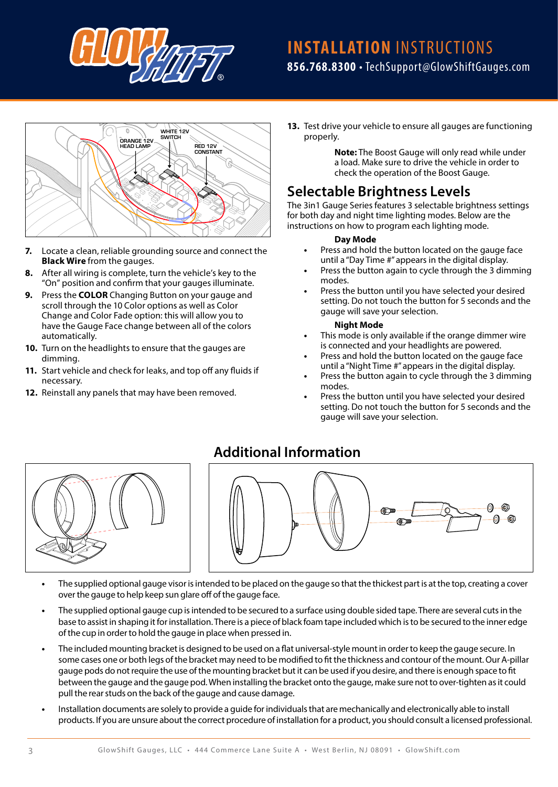

# **INSTALLATION** INSTRUCTIONS **856.768.8300** • TechSupport@GlowShiftGauges.com



- **7.** Locate a clean, reliable grounding source and connect the **Black Wire** from the gauges.
- **8.** After all wiring is complete, turn the vehicle's key to the "On" position and confirm that your gauges illuminate.
- **9.** Press the **COLOR** Changing Button on your gauge and scroll through the 10 Color options as well as Color Change and Color Fade option: this will allow you to have the Gauge Face change between all of the colors automatically.
- **10.** Turn on the headlights to ensure that the gauges are dimming.
- **11.** Start vehicle and check for leaks, and top off any fluids if necessary.
- **12.** Reinstall any panels that may have been removed.

**13.** Test drive your vehicle to ensure all gauges are functioning properly.

> **Note:** The Boost Gauge will only read while under a load. Make sure to drive the vehicle in order to check the operation of the Boost Gauge.

# **Selectable Brightness Levels**

The 3in1 Gauge Series features 3 selectable brightness settings for both day and night time lighting modes. Below are the instructions on how to program each lighting mode.

#### **Day Mode**

- **•** Press and hold the button located on the gauge face until a "Day Time #" appears in the digital display.
- **•** Press the button again to cycle through the 3 dimming modes.
- **•** Press the button until you have selected your desired setting. Do not touch the button for 5 seconds and the gauge will save your selection.

#### **Night Mode**

- **•** This mode is only available if the orange dimmer wire is connected and your headlights are powered.
- **•** Press and hold the button located on the gauge face until a "Night Time #" appears in the digital display.
- **•** Press the button again to cycle through the 3 dimming modes.
- **•** Press the button until you have selected your desired setting. Do not touch the button for 5 seconds and the gauge will save your selection.



### **Additional Information**



- **•** The supplied optional gauge visor is intended to be placed on the gauge so that the thickest part is at the top, creating a cover over the gauge to help keep sun glare off of the gauge face.
- **•** The supplied optional gauge cup is intended to be secured to a surface using double sided tape. There are several cuts in the base to assist in shaping it for installation. There is a piece of black foam tape included which is to be secured to the inner edge of the cup in order to hold the gauge in place when pressed in.
- **•** The included mounting bracket is designed to be used on a flat universal-style mount in order to keep the gauge secure. In some cases one or both legs of the bracket may need to be modified to fit the thickness and contour of the mount. Our A-pillar gauge pods do not require the use of the mounting bracket but it can be used if you desire, and there is enough space to fit between the gauge and the gauge pod. When installing the bracket onto the gauge, make sure not to over-tighten as it could pull the rear studs on the back of the gauge and cause damage.
- **•** Installation documents are solely to provide a guide for individuals that are mechanically and electronically able to install products. If you are unsure about the correct procedure of installation for a product, you should consult a licensed professional.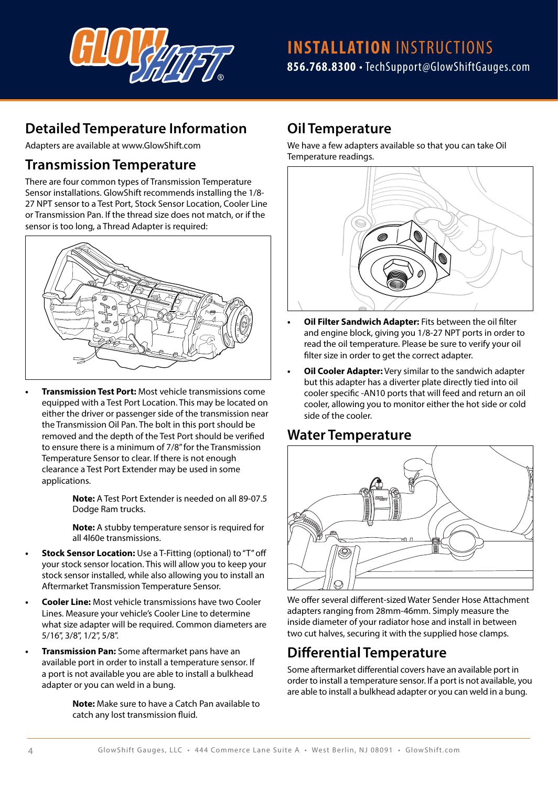

# **Detailed Temperature Information**

Adapters are available at www.GlowShift.com

### **Transmission Temperature**

There are four common types of Transmission Temperature Sensor installations. GlowShift recommends installing the 1/8- 27 NPT sensor to a Test Port, Stock Sensor Location, Cooler Line or Transmission Pan. If the thread size does not match, or if the sensor is too long, a Thread Adapter is required:



**• Transmission Test Port:** Most vehicle transmissions come equipped with a Test Port Location. This may be located on either the driver or passenger side of the transmission near the Transmission Oil Pan. The bolt in this port should be removed and the depth of the Test Port should be verified to ensure there is a minimum of 7/8" for the Transmission Temperature Sensor to clear. If there is not enough clearance a Test Port Extender may be used in some applications.

> **Note:** A Test Port Extender is needed on all 89-07.5 Dodge Ram trucks.

> **Note:** A stubby temperature sensor is required for all 4l60e transmissions.

- **Stock Sensor Location:** Use a T-Fitting (optional) to "T" off your stock sensor location. This will allow you to keep your stock sensor installed, while also allowing you to install an Aftermarket Transmission Temperature Sensor.
- **• Cooler Line:** Most vehicle transmissions have two Cooler Lines. Measure your vehicle's Cooler Line to determine what size adapter will be required. Common diameters are 5/16", 3/8", 1/2", 5/8".
- **• Transmission Pan:** Some aftermarket pans have an available port in order to install a temperature sensor. If a port is not available you are able to install a bulkhead adapter or you can weld in a bung.

**Note:** Make sure to have a Catch Pan available to catch any lost transmission fluid.

### **Oil Temperature**

We have a few adapters available so that you can take Oil Temperature readings.



- **• Oil Filter Sandwich Adapter:** Fits between the oil filter and engine block, giving you 1/8-27 NPT ports in order to read the oil temperature. Please be sure to verify your oil filter size in order to get the correct adapter.
- **• Oil Cooler Adapter:** Very similar to the sandwich adapter but this adapter has a diverter plate directly tied into oil cooler specific -AN10 ports that will feed and return an oil cooler, allowing you to monitor either the hot side or cold side of the cooler.

### **Water Temperature**



We offer several different-sized Water Sender Hose Attachment adapters ranging from 28mm-46mm. Simply measure the inside diameter of your radiator hose and install in between two cut halves, securing it with the supplied hose clamps.

# **Differential Temperature**

Some aftermarket differential covers have an available port in order to install a temperature sensor. If a port is not available, you are able to install a bulkhead adapter or you can weld in a bung.